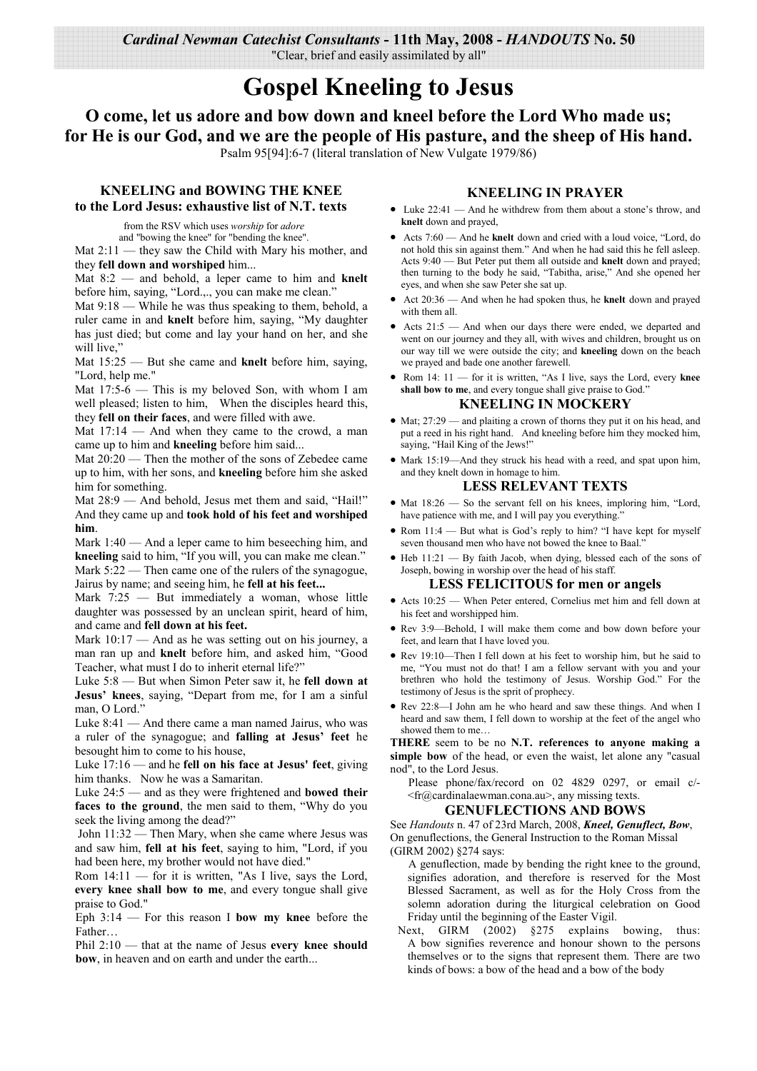Cardinal Newman Catechist Consultants - 11th May, 2008 - HANDOUTS No. 50 "Clear, brief and easily assimilated by all"

# **Gospel Kneeling to Jesus**

O come, let us adore and bow down and kneel before the Lord Who made us; for He is our God, and we are the people of His pasture, and the sheep of His hand. Psalm 95[94]:6-7 (literal translation of New Vulgate 1979/86)

# **KNEELING and BOWING THE KNEE** to the Lord Jesus: exhaustive list of N.T. texts

from the RSV which uses worship for adore and "bowing the knee" for "bending the knee"

Mat  $2:11$  — they saw the Child with Mary his mother, and they fell down and worshiped him...

Mat  $8:2$  — and behold, a leper came to him and knelt before him, saying, "Lord.,., you can make me clean.'

Mat  $9:18$  — While he was thus speaking to them, behold, a ruler came in and knelt before him, saying, "My daughter has just died; but come and lay your hand on her, and she will live."

Mat  $15:25$  — But she came and knelt before him, saying, "Lord, help me."

Mat 17:5-6 - This is my beloved Son, with whom I am well pleased; listen to him. When the disciples heard this, they fell on their faces, and were filled with awe.

Mat  $17:14$  — And when they came to the crowd, a man came up to him and kneeling before him said...

Mat 20:20 — Then the mother of the sons of Zebedee came up to him, with her sons, and kneeling before him she asked him for something.

Mat 28:9 - And behold, Jesus met them and said, "Hail!" And they came up and took hold of his feet and worshiped him

Mark  $1:40$  — And a leper came to him beseeching him, and kneeling said to him, "If you will, you can make me clean." Mark  $5:22$  — Then came one of the rulers of the synagogue,

Jairus by name; and seeing him, he fell at his feet...

Mark 7:25 - But immediately a woman, whose little daughter was possessed by an unclean spirit, heard of him, and came and fell down at his feet.

Mark  $10:17$  — And as he was setting out on his journey, a man ran up and knelt before him, and asked him. "Good Teacher, what must I do to inherit eternal life?"

Luke  $5:8$  — But when Simon Peter saw it, he fell down at Jesus' knees, saying, "Depart from me, for I am a sinful man, O Lord."

Luke  $8:41$  — And there came a man named Jairus, who was a ruler of the synagogue; and falling at Jesus' feet he besought him to come to his house,

Luke  $17:16$  — and he fell on his face at Jesus' feet, giving him thanks. Now he was a Samaritan.

Luke 24:5 - and as they were frightened and bowed their faces to the ground, the men said to them, "Why do you seek the living among the dead?"

John 11:32 — Then Mary, when she came where Jesus was and saw him, fell at his feet, saying to him, "Lord, if you had been here, my brother would not have died."

Rom 14:11 - for it is written, "As I live, says the Lord, every knee shall bow to me, and every tongue shall give praise to God."

Eph  $3:14$  – For this reason I bow my knee before the Father

Phil  $2:10$  — that at the name of Jesus every knee should bow, in heaven and on earth and under the earth...

## **KNEELING IN PRAYER**

- Luke  $22:41$  And he withdrew from them about a stone's throw, and knelt down and prayed,
- Acts 7:60 And he knelt down and cried with a loud voice, "Lord, do not hold this sin against them." And when he had said this he fell asleep. Acts  $9:40$  — But Peter put them all outside and **knelt** down and praved: then turning to the body he said, "Tabitha, arise," And she opened her eyes, and when she saw Peter she sat up.
- Act 20:36 And when he had spoken thus, he knelt down and prayed with them all.
- Acts 21:5 And when our days there were ended, we departed and went on our journey and they all, with wives and children, brought us on our way till we were outside the city; and kneeling down on the beach we prayed and bade one another farewell.
- Rom 14: 11 for it is written, "As I live, says the Lord, every knee shall bow to me, and every tongue shall give praise to God.

#### **KNEELING IN MOCKERY**

- $\bullet$  Mat; 27:29 and plaiting a crown of thorns they put it on his head, and put a reed in his right hand. And kneeling before him they mocked him, saying, "Hail King of the Jews!"
- Mark 15:19-And they struck his head with a reed, and spat upon him, and they knelt down in homage to him.

#### **LESS RELEVANT TEXTS**

- Mat  $18:26$  So the servant fell on his knees, imploring him, "Lord, have patience with me, and I will pay you everything.
- Rom 11:4 But what is God's reply to him? "I have kept for myself seven thousand men who have not bowed the knee to Baal.
- Heb 11:21 By faith Jacob, when dying, blessed each of the sons of Joseph, bowing in worship over the head of his staff.

#### **LESS FELICITOUS for men or angels**

- Acts 10:25 When Peter entered, Cornelius met him and fell down at his feet and worshipped him.
- Rev 3:9—Behold, I will make them come and bow down before your feet, and learn that I have loved you.
- Rev 19:10-Then I fell down at his feet to worship him, but he said to me, "You must not do that! I am a fellow servant with you and your brethren who hold the testimony of Jesus. Worship God." For the testimony of Jesus is the sprit of prophecy.
- Rev 22:8-I John am he who heard and saw these things. And when I heard and saw them, I fell down to worship at the feet of the angel who showed them to me...

THERE seem to be no N.T. references to anyone making a simple bow of the head, or even the waist, let alone any "casual nod", to the Lord Jesus.

Please phone/fax/record on 02 4829 0297, or email c/-<fr@cardinalaewman.cona.au>, any missing texts.

### **GENUFLECTIONS AND BOWS**

See Handouts n. 47 of 23rd March, 2008, Kneel, Genuflect, Bow, On genuflections, the General Instruction to the Roman Missal (GIRM 2002) §274 says:

A genuflection, made by bending the right knee to the ground, signifies adoration, and therefore is reserved for the Most Blessed Sacrament, as well as for the Holy Cross from the solemn adoration during the liturgical celebration on Good Friday until the beginning of the Easter Vigil.

Next, GIRM (2002) §275 explains bowing, thus: A bow signifies reverence and honour shown to the persons themselves or to the signs that represent them. There are two kinds of bows: a bow of the head and a bow of the body